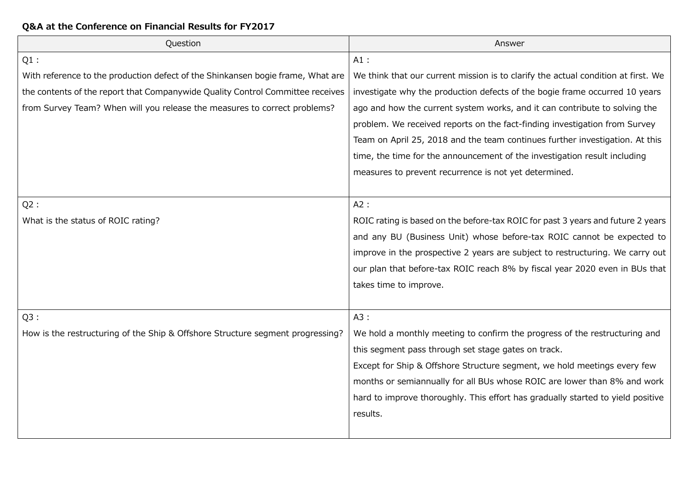| Question                                                                        | Answer                                                                            |
|---------------------------------------------------------------------------------|-----------------------------------------------------------------------------------|
| $Q1$ :                                                                          | $A1$ :                                                                            |
| With reference to the production defect of the Shinkansen bogie frame, What are | We think that our current mission is to clarify the actual condition at first. We |
| the contents of the report that Companywide Quality Control Committee receives  | investigate why the production defects of the bogie frame occurred 10 years       |
| from Survey Team? When will you release the measures to correct problems?       | ago and how the current system works, and it can contribute to solving the        |
|                                                                                 | problem. We received reports on the fact-finding investigation from Survey        |
|                                                                                 | Team on April 25, 2018 and the team continues further investigation. At this      |
|                                                                                 | time, the time for the announcement of the investigation result including         |
|                                                                                 | measures to prevent recurrence is not yet determined.                             |
|                                                                                 |                                                                                   |
| Q2:                                                                             | A2:                                                                               |
| What is the status of ROIC rating?                                              | ROIC rating is based on the before-tax ROIC for past 3 years and future 2 years   |
|                                                                                 | and any BU (Business Unit) whose before-tax ROIC cannot be expected to            |
|                                                                                 | improve in the prospective 2 years are subject to restructuring. We carry out     |
|                                                                                 | our plan that before-tax ROIC reach 8% by fiscal year 2020 even in BUs that       |
|                                                                                 | takes time to improve.                                                            |
|                                                                                 |                                                                                   |
| Q3:                                                                             | A3:                                                                               |
| How is the restructuring of the Ship & Offshore Structure segment progressing?  | We hold a monthly meeting to confirm the progress of the restructuring and        |
|                                                                                 | this segment pass through set stage gates on track.                               |
|                                                                                 | Except for Ship & Offshore Structure segment, we hold meetings every few          |
|                                                                                 | months or semiannually for all BUs whose ROIC are lower than 8% and work          |
|                                                                                 | hard to improve thoroughly. This effort has gradually started to yield positive   |
|                                                                                 | results.                                                                          |
|                                                                                 |                                                                                   |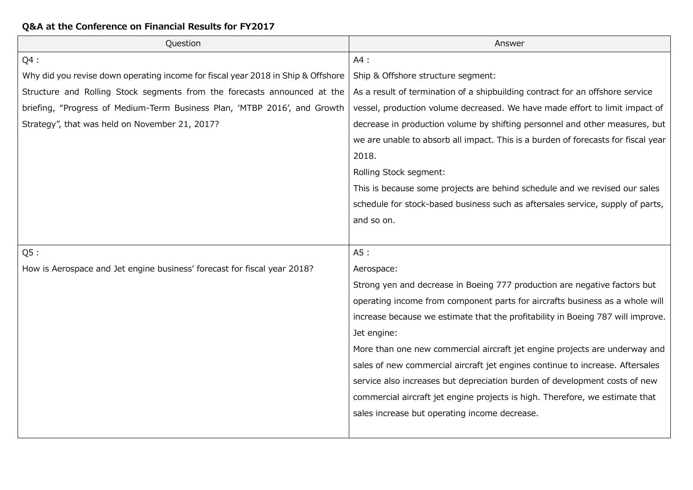| Question                                                                         | Answer                                                                            |
|----------------------------------------------------------------------------------|-----------------------------------------------------------------------------------|
| $Q4$ :                                                                           | A4:                                                                               |
| Why did you revise down operating income for fiscal year 2018 in Ship & Offshore | Ship & Offshore structure segment:                                                |
| Structure and Rolling Stock segments from the forecasts announced at the         | As a result of termination of a shipbuilding contract for an offshore service     |
| briefing, "Progress of Medium-Term Business Plan, 'MTBP 2016', and Growth        | vessel, production volume decreased. We have made effort to limit impact of       |
| Strategy", that was held on November 21, 2017?                                   | decrease in production volume by shifting personnel and other measures, but       |
|                                                                                  | we are unable to absorb all impact. This is a burden of forecasts for fiscal year |
|                                                                                  | 2018.                                                                             |
|                                                                                  | Rolling Stock segment:                                                            |
|                                                                                  | This is because some projects are behind schedule and we revised our sales        |
|                                                                                  | schedule for stock-based business such as aftersales service, supply of parts,    |
|                                                                                  | and so on.                                                                        |
|                                                                                  |                                                                                   |
| Q5:                                                                              | A5:                                                                               |
| How is Aerospace and Jet engine business' forecast for fiscal year 2018?         | Aerospace:                                                                        |
|                                                                                  | Strong yen and decrease in Boeing 777 production are negative factors but         |
|                                                                                  | operating income from component parts for aircrafts business as a whole will      |
|                                                                                  | increase because we estimate that the profitability in Boeing 787 will improve.   |
|                                                                                  | Jet engine:                                                                       |
|                                                                                  | More than one new commercial aircraft jet engine projects are underway and        |
|                                                                                  | sales of new commercial aircraft jet engines continue to increase. Aftersales     |
|                                                                                  | service also increases but depreciation burden of development costs of new        |
|                                                                                  | commercial aircraft jet engine projects is high. Therefore, we estimate that      |
|                                                                                  | sales increase but operating income decrease.                                     |
|                                                                                  |                                                                                   |